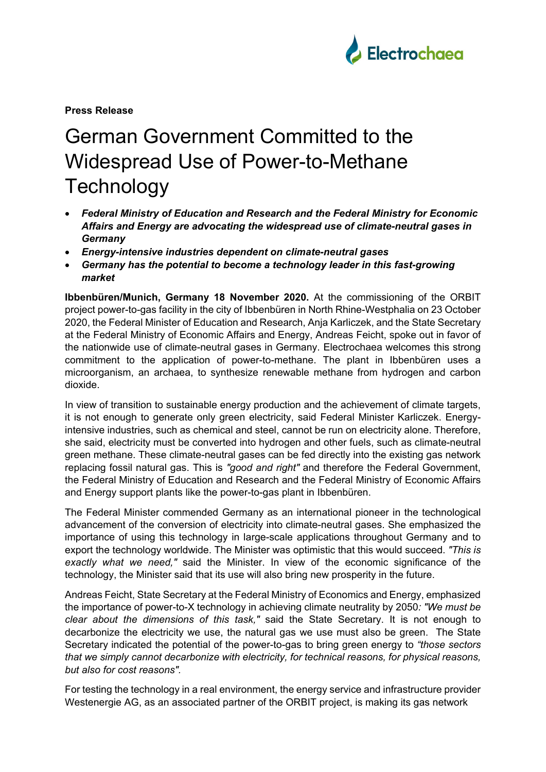

**Press Release**

## German Government Committed to the Widespread Use of Power-to-Methane **Technology**

- *Federal Ministry of Education and Research and the Federal Ministry for Economic Affairs and Energy are advocating the widespread use of climate-neutral gases in Germany*
- *Energy-intensive industries dependent on climate-neutral gases*
- *Germany has the potential to become a technology leader in this fast-growing market*

**Ibbenbüren/Munich, Germany 18 November 2020.** At the commissioning of the ORBIT project power-to-gas facility in the city of Ibbenbüren in North Rhine-Westphalia on 23 October 2020, the Federal Minister of Education and Research, Anja Karliczek, and the State Secretary at the Federal Ministry of Economic Affairs and Energy, Andreas Feicht, spoke out in favor of the nationwide use of climate-neutral gases in Germany. Electrochaea welcomes this strong commitment to the application of power-to-methane. The plant in Ibbenbüren uses a microorganism, an archaea, to synthesize renewable methane from hydrogen and carbon dioxide.

In view of transition to sustainable energy production and the achievement of climate targets, it is not enough to generate only green electricity, said Federal Minister Karliczek. Energyintensive industries, such as chemical and steel, cannot be run on electricity alone. Therefore, she said, electricity must be converted into hydrogen and other fuels, such as climate-neutral green methane. These climate-neutral gases can be fed directly into the existing gas network replacing fossil natural gas. This is *"good and right"* and therefore the Federal Government, the Federal Ministry of Education and Research and the Federal Ministry of Economic Affairs and Energy support plants like the power-to-gas plant in Ibbenbüren.

The Federal Minister commended Germany as an international pioneer in the technological advancement of the conversion of electricity into climate-neutral gases. She emphasized the importance of using this technology in large-scale applications throughout Germany and to export the technology worldwide. The Minister was optimistic that this would succeed. *"This is exactly what we need,"* said the Minister. In view of the economic significance of the technology, the Minister said that its use will also bring new prosperity in the future.

Andreas Feicht, State Secretary at the Federal Ministry of Economics and Energy, emphasized the importance of power-to-X technology in achieving climate neutrality by 2050*: "We must be clear about the dimensions of this task,"* said the State Secretary. It is not enough to decarbonize the electricity we use, the natural gas we use must also be green. The State Secretary indicated the potential of the power-to-gas to bring green energy to *"those sectors that we simply cannot decarbonize with electricity, for technical reasons, for physical reasons, but also for cost reasons".*

For testing the technology in a real environment, the energy service and infrastructure provider Westenergie AG, as an associated partner of the ORBIT project, is making its gas network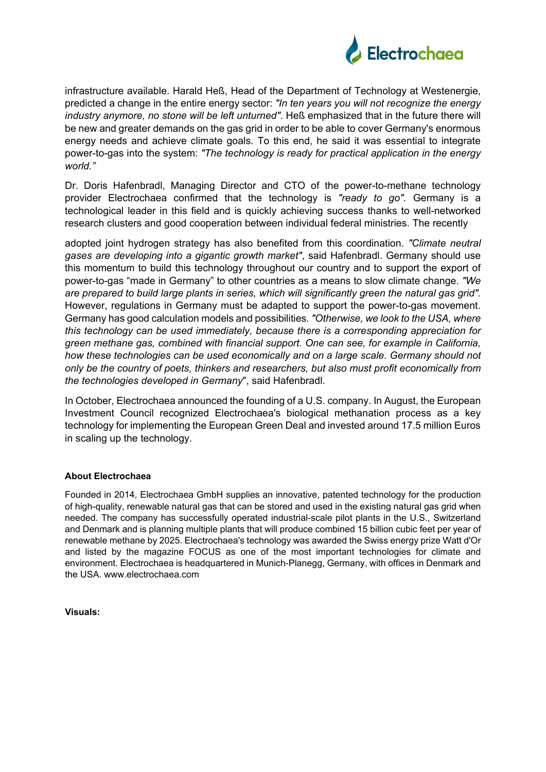

infrastructure available. Harald Heß, Head of the Department of Technology at Westenergie, predicted a change in the entire energy sector: *"In ten years you will not recognize the energy industry anymore, no stone will be left unturned"*. Heß emphasized that in the future there will be new and greater demands on the gas grid in order to be able to cover Germany's enormous energy needs and achieve climate goals. To this end, he said it was essential to integrate power-to-gas into the system: *"The technology is ready for practical application in the energy world."*

Dr. Doris Hafenbradl, Managing Director and CTO of the power-to-methane technology provider Electrochaea confirmed that the technology is *"ready to go".* Germany is a technological leader in this field and is quickly achieving success thanks to well-networked research clusters and good cooperation between individual federal ministries. The recently

adopted joint hydrogen strategy has also benefited from this coordination. *"Climate neutral gases are developing into a gigantic growth market"*, said Hafenbradl. Germany should use this momentum to build this technology throughout our country and to support the export of power-to-gas "made in Germany" to other countries as a means to slow climate change. *"We are prepared to build large plants in series, which will significantly green the natural gas grid".* However, regulations in Germany must be adapted to support the power-to-gas movement. Germany has good calculation models and possibilities*. "Otherwise, we look to the USA, where this technology can be used immediately, because there is a corresponding appreciation for green methane gas, combined with financial support. One can see, for example in California, how these technologies can be used economically and on a large scale. Germany should not only be the country of poets, thinkers and researchers, but also must profit economically from the technologies developed in Germany*", said Hafenbradl.

In October, Electrochaea announced the founding of a U.S. company. In August, the European Investment Council recognized Electrochaea's biological methanation process as a key technology for implementing the European Green Deal and invested around 17.5 million Euros in scaling up the technology.

## **About Electrochaea**

Founded in 2014, Electrochaea GmbH supplies an innovative, patented technology for the production of high-quality, renewable natural gas that can be stored and used in the existing natural gas grid when needed. The company has successfully operated industrial-scale pilot plants in the U.S., Switzerland and Denmark and is planning multiple plants that will produce combined 15 billion cubic feet per year of renewable methane by 2025. Electrochaea's technology was awarded the Swiss energy prize Watt d'Or and listed by the magazine FOCUS as one of the most important technologies for climate and environment. Electrochaea is headquartered in Munich-Planegg, Germany, with offices in Denmark and the USA. www.electrochaea.com

**Visuals:**